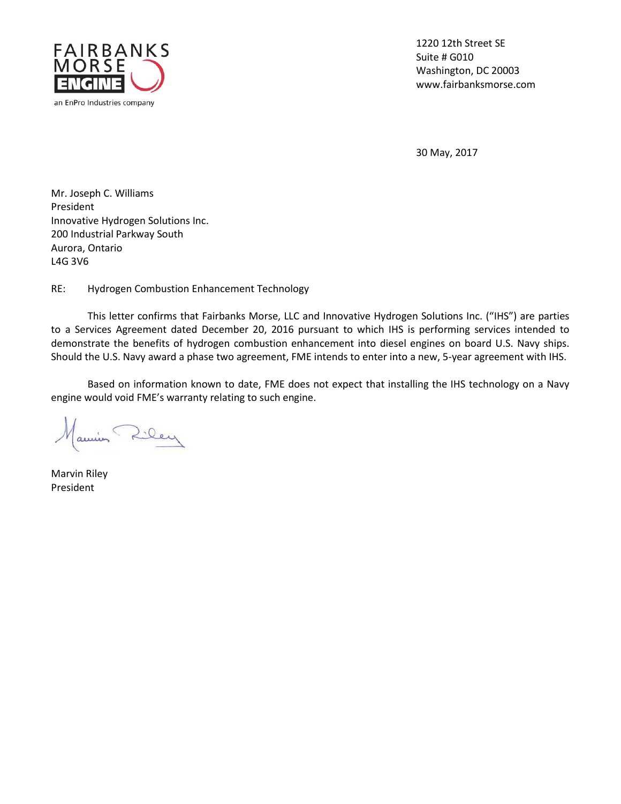

1220 12th Street SE Suite # G010 Washington, DC 20003 www.fairbanksmorse.com

30 May, 2017

Mr. Joseph C. Williams President Innovative Hydrogen Solutions Inc. 200 Industrial Parkway South Aurora, Ontario L4G 3V6

RE: Hydrogen Combustion Enhancement Technology

This letter confirms that Fairbanks Morse, LLC and Innovative Hydrogen Solutions Inc. ("IHS") are parties to a Services Agreement dated December 20, 2016 pursuant to which IHS is performing services intended to demonstrate the benefits of hydrogen combustion enhancement into diesel engines on board U.S. Navy ships. Should the U.S. Navy award a phase two agreement, FME intends to enter into a new, 5-year agreement with IHS.

Based on information known to date, FME does not expect that installing the IHS technology on a Navy engine would void FME's warranty relating to such engine.

Cley

Marvin Riley President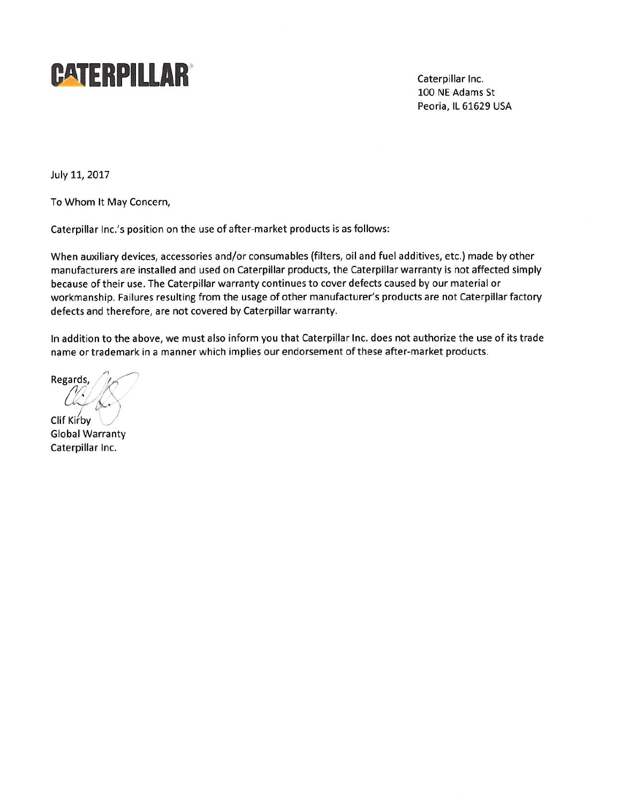

Caterpillar Inc. 100 NE Adams St Peoria, IL 61629 USA

July 11, 2017

To Whom It May Concern,

Caterpillar Inc.'s position on the use of after-market products is as follows:

When auxiliary devices, accessories and/or consumables (filters, oil and fuel additives, etc.) made by other manufacturers are installed and used on Caterpillar products, the Caterpillar warranty is not affected simply because of their use. The Caterpillar warranty continues to cover defects caused by our material or workmanship. Failures resulting from the usage of other manufacturer's products are not Caterpillar factory defects and therefore, are not covered by Caterpillar warranty.

In addition to the above, we must also inform you that Caterpillar Inc. does not authorize the use of its trade name or trademark in a manner which implies our endorsement of these after-market products.

**Regards** 

Clif Kirby **Global Warranty** Caterpillar Inc.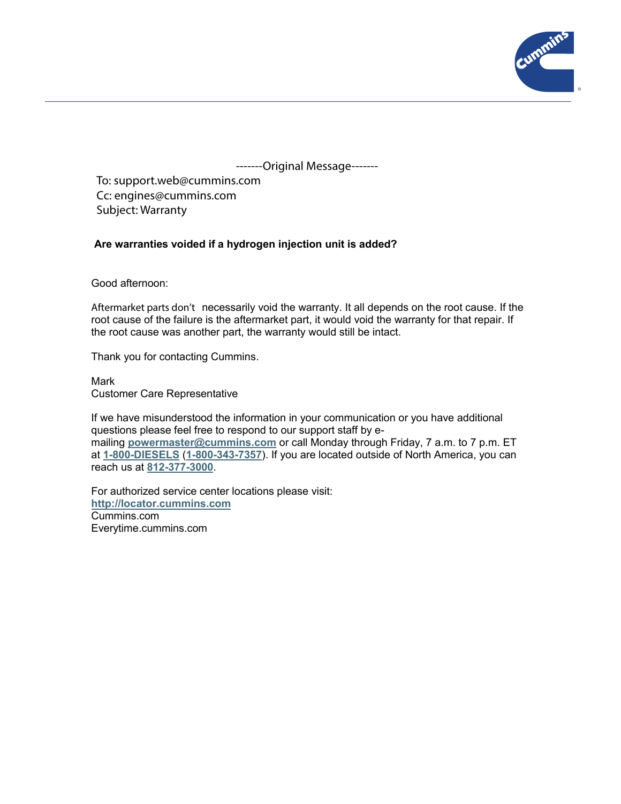

-------Original Message-------

To: support.web@cummins.com Cc: engines@cummins.com Subject: Warranty

### **Are warranties voided if a hydrogen injection unit is added?**

Good afternoon:

Aftermarket parts don't necessarily void the warranty. It all depends on the root cause. If the root cause of the failure is the aftermarket part, it would void the warranty for that repair. If the root cause was another part, the warranty would still be intact.

Thank you for contacting Cummins.

#### Mark

Customer Care Representative

If we have misunderstood the information in your communication or you have additional questions please feel free to respond to our support staff by emailing **powermaster@cummins.com** or call Monday through Friday, 7 a.m. to 7 p.m. ET at **1-800-DIESELS** (**1-800-343-7357**). If you are located outside of North America, you can reach us at **812-377-3000**.

For authorized service center locations please visit: **http://locator.cummins.com** Cummins.com Everytime.cummins.com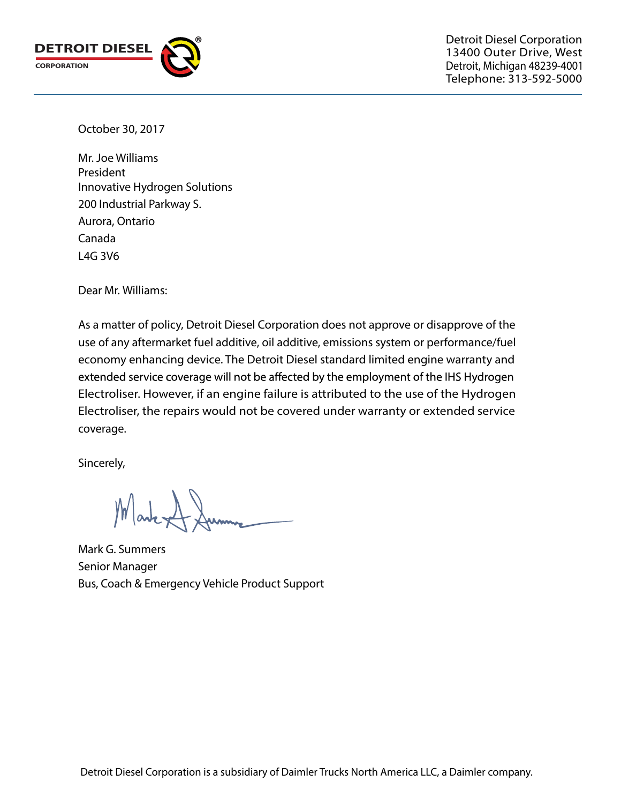

Detroit Diesel Corporation 13400 Outer Drive, West Detroit, Michigan 48239-4001 Telephone: 313-592-5000

October 30, 2017

Innovative Hydrogen Solutions 200 Industrial Parkway S. Aurora, Ontario Canada L4G 3V6 Mr. Joe Williams President

Dear Mr. Williams:

As a matter of policy, Detroit Diesel Corporation does not approve or disapprove of the use of any aftermarket fuel additive, oil additive, emissions system or performance/fuel economy enhancing device. The Detroit Diesel standard limited engine warranty and extended service coverage will not be affected by the employment of the IHS Hydrogen Electroliser. However, if an engine failure is attributed to the use of the Hydrogen Electroliser, the repairs would not be covered under warranty or extended service coverage.

Sincerely,

Mark Dumme

Mark G. Summers Senior Manager Bus, Coach & Emergency Vehicle Product Support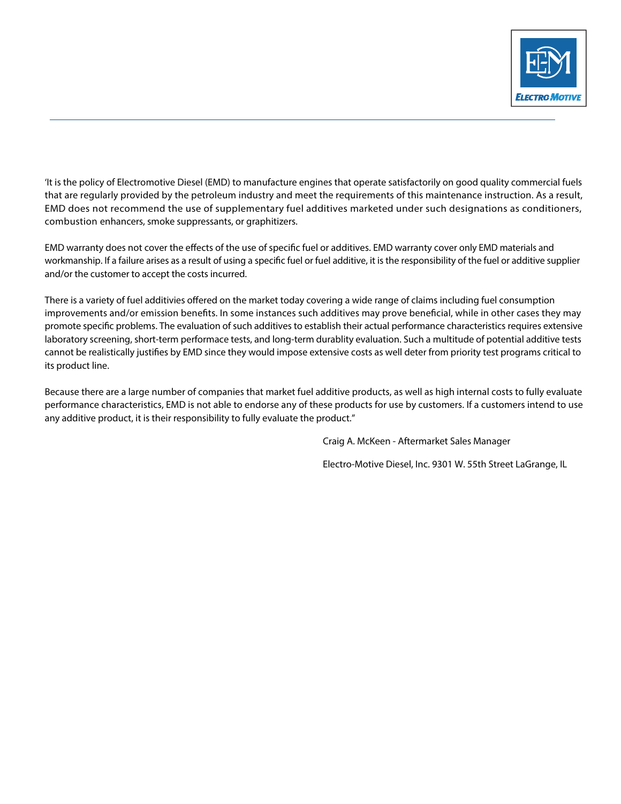

'It is the policy of Electromotive Diesel (EMD) to manufacture engines that operate satisfactorily on good quality commercial fuels that are regularly provided by the petroleum industry and meet the requirements of this maintenance instruction. As a result, EMD does not recommend the use of supplementary fuel additives marketed under such designations as conditioners, combustion enhancers, smoke suppressants, or graphitizers.

EMD warranty does not cover the effects of the use of specific fuel or additives. EMD warranty cover only EMD materials and workmanship. If a failure arises as a result of using a specific fuel or fuel additive, it is the responsibility of the fuel or additive supplier and/or the customer to accept the costs incurred.

There is a variety of fuel additivies offered on the market today covering a wide range of claims including fuel consumption improvements and/or emission benefits. In some instances such additives may prove beneficial, while in other cases they may promote specific problems. The evaluation of such additives to establish their actual performance characteristics requires extensive laboratory screening, short-term performace tests, and long-term durablity evaluation. Such a multitude of potential additive tests cannot be realistically justifies by EMD since they would impose extensive costs as well deter from priority test programs critical to its product line.

Because there are a large number of companies that market fuel additive products, as well as high internal costs to fully evaluate performance characteristics, EMD is not able to endorse any of these products for use by customers. If a customers intend to use any additive product, it is their responsibility to fully evaluate the product."

Craig A. McKeen - Aftermarket Sales Manager

Electro-Motive Diesel, Inc. 9301 W. 55th Street LaGrange, IL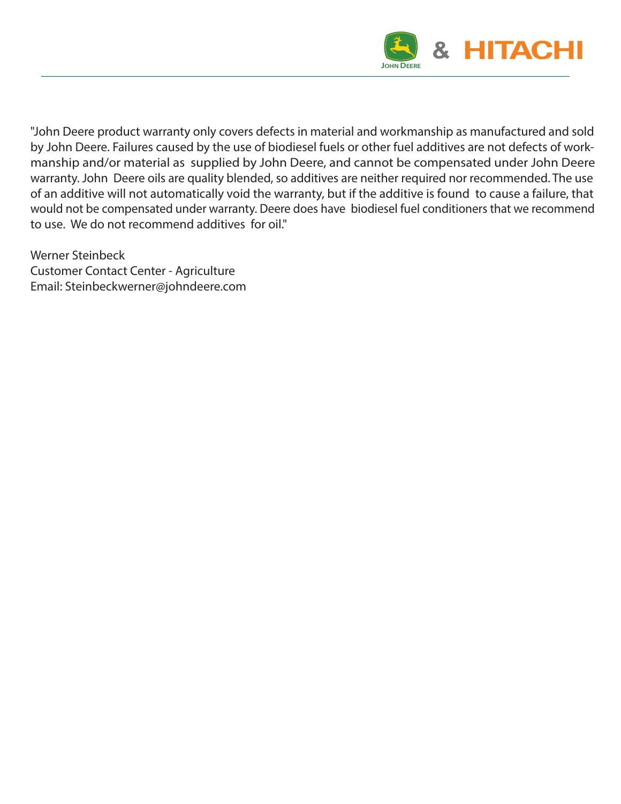

"John Deere product warranty only covers defects in material and workmanship as manufactured and sold by John Deere. Failures caused by the use of biodiesel fuels or other fuel additives are not defects of workmanship and/or material as supplied by John Deere, and cannot be compensated under John Deere warranty. John Deere oils are quality blended, so additives are neither required nor recommended. The use of an additive will not automatically void the warranty, but if the additive is found to cause a failure, that would not be compensated under warranty. Deere does have biodiesel fuel conditioners that we recommend to use. We do not recommend additives for oil."

Werner Steinbeck Customer Contact Center - Agriculture Email: Steinbeckwerner@johndeere.com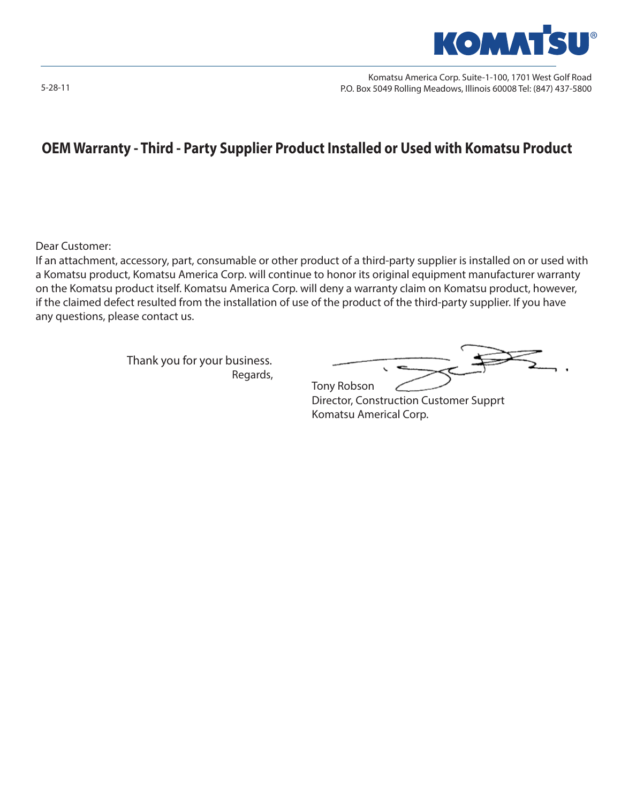

Komatsu America Corp. Suite-1-100, 1701 West Golf Road P.O. Box 5049 Rolling Meadows, Illinois 60008 Tel: (847) 437-5800

# **OEM Warranty - Third - Party Supplier Product Installed or Used with Komatsu Product**

Dear Customer:

If an attachment, accessory, part, consumable or other product of a third-party supplier is installed on or used with a Komatsu product, Komatsu America Corp. will continue to honor its original equipment manufacturer warranty on the Komatsu product itself. Komatsu America Corp. will deny a warranty claim on Komatsu product, however, if the claimed defect resulted from the installation of use of the product of the third-party supplier. If you have any questions, please contact us.

 Thank you for your business. Regards, Tony Robson Regards, Tony Robson

 $\overline{\phantom{0}}$ 

Director, Construction Customer Supprt Komatsu Americal Corp.

5-28-11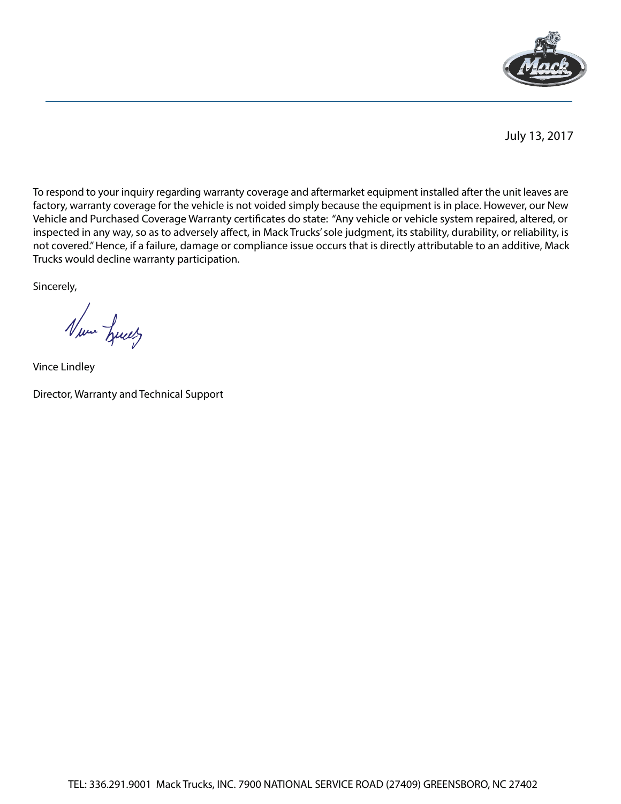

July 13, 2017

To respond to your inquiry regarding warranty coverage and aftermarket equipment installed after the unit leaves are factory, warranty coverage for the vehicle is not voided simply because the equipment is in place. However, our New Vehicle and Purchased Coverage Warranty certificates do state: "Any vehicle or vehicle system repaired, altered, or inspected in any way, so as to adversely affect, in Mack Trucks' sole judgment, its stability, durability, or reliability, is not covered." Hence, if a failure, damage or compliance issue occurs that is directly attributable to an additive, Mack Trucks would decline warranty participation.

Sincerely,

Num Luces

Vince Lindley

Director, Warranty and Technical Support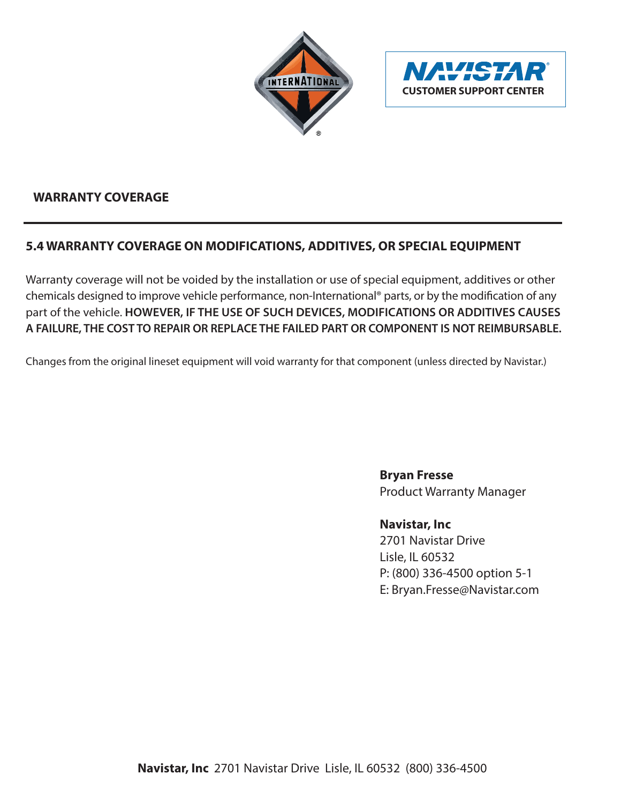



## **WARRANTY COVERAGE**

## **5.4 WARRANTY COVERAGE ON MODIFICATIONS, ADDITIVES, OR SPECIAL EQUIPMENT**

Warranty coverage will not be voided by the installation or use of special equipment, additives or other chemicals designed to improve vehicle performance, non-International® parts, or by the modification of any part of the vehicle. **HOWEVER, IF THE USE OF SUCH DEVICES, MODIFICATIONS OR ADDITIVES CAUSES A FAILURE, THE COST TO REPAIR OR REPLACE THE FAILED PART OR COMPONENT IS NOT REIMBURSABLE.**

Changes from the original lineset equipment will void warranty for that component (unless directed by Navistar.)

**Bryan Fresse** Product Warranty Manager

**Navistar, Inc**

2701 Navistar Drive Lisle, IL 60532 P: (800) 336-4500 option 5-1 E: Bryan.Fresse@Navistar.com